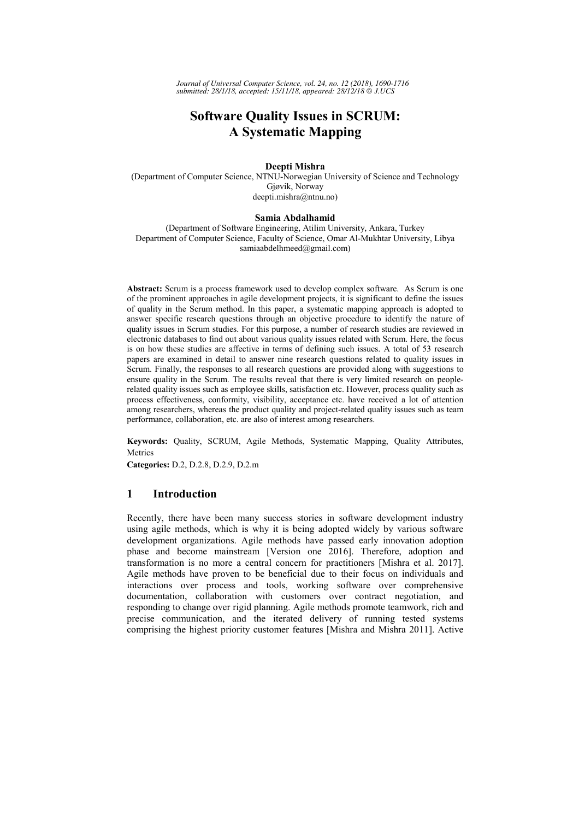# **Software Ouality Issues in SCRUM: A Systematic Mapping**

# Deepti Mishra

(Department of Computer Science, NTNU-Norwegian University of Science and Technology Gjøvik, Norway deepti.mishra@ntnu.no)

## Samia Abdalhamid

(Department of Software Engineering, Atilim University, Ankara, Turkey Department of Computer Science, Faculty of Science, Omar Al-Mukhtar University, Libya samiaabdelhmeed@gmail.com)

Abstract: Scrum is a process framework used to develop complex software. As Scrum is one of the prominent approaches in agile development projects, it is significant to define the issues of quality in the Scrum method. In this paper, a systematic mapping approach is adopted to answer specific research questions through an objective procedure to identify the nature of quality issues in Scrum studies. For this purpose, a number of research studies are reviewed in electronic databases to find out about various quality issues related with Scrum. Here, the focus is on how these studies are affective in terms of defining such issues. A total of 53 research papers are examined in detail to answer nine research questions related to quality issues in Scrum. Finally, the responses to all research questions are provided along with suggestions to ensure quality in the Scrum. The results reveal that there is very limited research on peoplerelated quality issues such as employee skills, satisfaction etc. However, process quality such as process effectiveness, conformity, visibility, acceptance etc. have received a lot of attention among researchers, whereas the product quality and project-related quality issues such as team performance, collaboration, etc. are also of interest among researchers.

Keywords: Quality, SCRUM, Agile Methods, Systematic Mapping, Quality Attributes, Metrics

Categories: D.2, D.2.8, D.2.9, D.2.m

### $\mathbf{1}$ **Introduction**

Recently, there have been many success stories in software development industry using agile methods, which is why it is being adopted widely by various software development organizations. Agile methods have passed early innovation adoption phase and become mainstream [Version one 2016]. Therefore, adoption and transformation is no more a central concern for practitioners [Mishra et al. 2017]. Agile methods have proven to be beneficial due to their focus on individuals and interactions over process and tools, working software over comprehensive documentation, collaboration with customers over contract negotiation, and responding to change over rigid planning. Agile methods promote teamwork, rich and precise communication, and the iterated delivery of running tested systems comprising the highest priority customer features [Mishra and Mishra 2011]. Active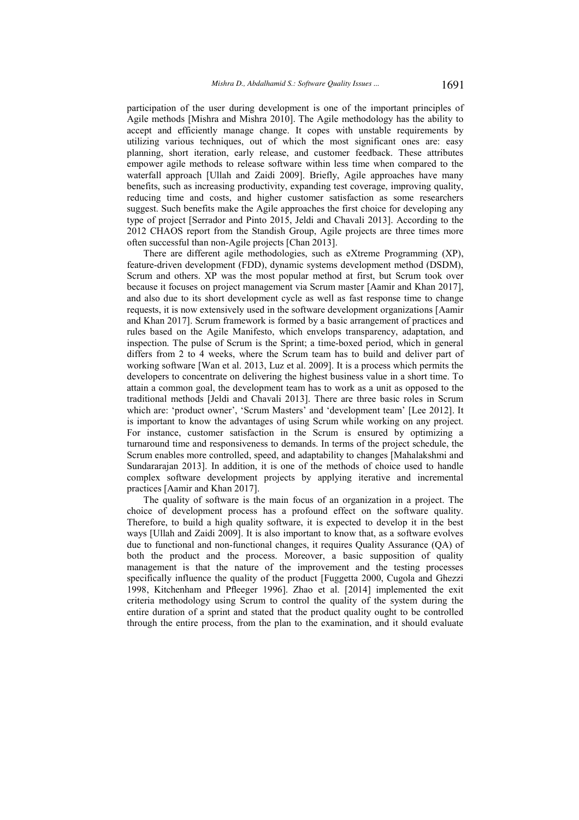participation of the user during development is one of the important principles of Agile methods [Mishra and Mishra 2010]. The Agile methodology has the ability to accept and efficiently manage change. It copes with unstable requirements by utilizing various techniques, out of which the most significant ones are: easy planning, short iteration, early release, and customer feedback. These attributes empower agile methods to release software within less time when compared to the waterfall approach [Ullah and Zaidi 2009]. Briefly, Agile approaches have many benefits, such as increasing productivity, expanding test coverage, improving quality, reducing time and costs, and higher customer satisfaction as some researchers suggest. Such benefits make the Agile approaches the first choice for developing any type of project [Serrador and Pinto 2015, Jeldi and Chavali 2013]. According to the 2012 CHAOS report from the Standish Group, Agile projects are three times more often successful than non-Agile projects [Chan 2013].

There are different agile methodologies, such as eXtreme Programming (XP), feature-driven development (FDD), dynamic systems development method (DSDM), Scrum and others. XP was the most popular method at first, but Scrum took over because it focuses on project management via Scrum master [Aamir and Khan 2017], and also due to its short development cycle as well as fast response time to change requests, it is now extensively used in the software development organizations [Aamir] and Khan 2017]. Scrum framework is formed by a basic arrangement of practices and rules based on the Agile Manifesto, which envelops transparency, adaptation, and inspection. The pulse of Scrum is the Sprint; a time-boxed period, which in general differs from 2 to 4 weeks, where the Scrum team has to build and deliver part of working software [Wan et al. 2013, Luz et al. 2009]. It is a process which permits the developers to concentrate on delivering the highest business value in a short time. To attain a common goal, the development team has to work as a unit as opposed to the traditional methods [Jeldi and Chavali 2013]. There are three basic roles in Scrum which are: 'product owner', 'Scrum Masters' and 'development team' [Lee 2012]. It is important to know the advantages of using Scrum while working on any project. For instance, customer satisfaction in the Scrum is ensured by optimizing a turnaround time and responsiveness to demands. In terms of the project schedule, the Scrum enables more controlled, speed, and adaptability to changes [Mahalakshmi and Sundararajan 2013]. In addition, it is one of the methods of choice used to handle complex software development projects by applying iterative and incremental practices [Aamir and Khan 2017].

The quality of software is the main focus of an organization in a project. The choice of development process has a profound effect on the software quality. Therefore, to build a high quality software, it is expected to develop it in the best ways [Ullah and Zaidi 2009]. It is also important to know that, as a software evolves due to functional and non-functional changes, it requires Quality Assurance (QA) of both the product and the process. Moreover, a basic supposition of quality management is that the nature of the improvement and the testing processes specifically influence the quality of the product [Fuggetta 2000, Cugola and Ghezzi 1998, Kitchenham and Pfleeger 1996]. Zhao et al. [2014] implemented the exit criteria methodology using Scrum to control the quality of the system during the entire duration of a sprint and stated that the product quality ought to be controlled through the entire process, from the plan to the examination, and it should evaluate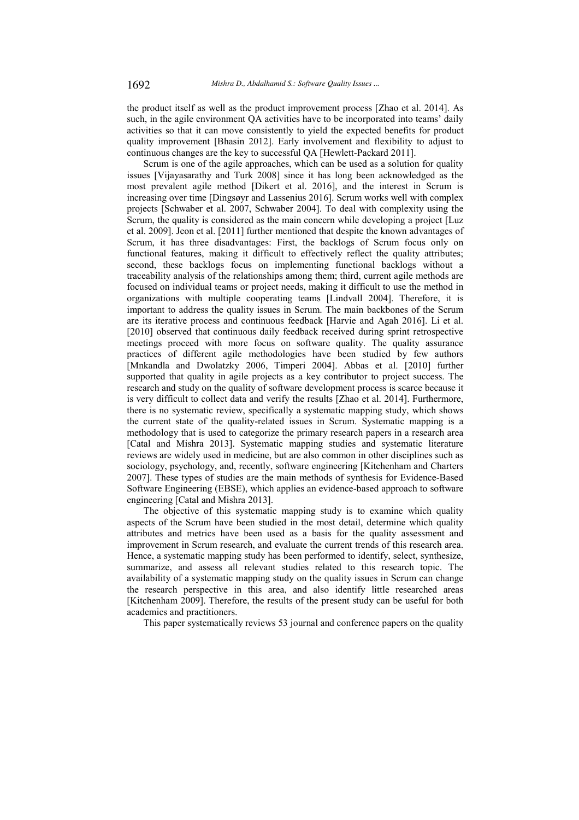the product itself as well as the product improvement process [Zhao et al. 2014]. As such, in the agile environment QA activities have to be incorporated into teams' daily activities so that it can move consistently to yield the expected benefits for product quality improvement [Bhasin 2012]. Early involvement and flexibility to adjust to continuous changes are the key to successful QA [Hewlett-Packard 2011].

Scrum is one of the agile approaches, which can be used as a solution for quality issues [Vijayasarathy and Turk 2008] since it has long been acknowledged as the most prevalent agile method [Dikert et al. 2016], and the interest in Scrum is increasing over time [Dingsøyr and Lassenius 2016]. Scrum works well with complex projects [Schwaber et al. 2007, Schwaber 2004]. To deal with complexity using the Scrum, the quality is considered as the main concern while developing a project [Luz] et al. 2009]. Jeon et al. [2011] further mentioned that despite the known advantages of Scrum, it has three disadvantages: First, the backlogs of Scrum focus only on functional features, making it difficult to effectively reflect the quality attributes; second, these backlogs focus on implementing functional backlogs without a traceability analysis of the relationships among them; third, current agile methods are focused on individual teams or project needs, making it difficult to use the method in organizations with multiple cooperating teams [Lindvall 2004]. Therefore, it is important to address the quality issues in Scrum. The main backbones of the Scrum are its iterative process and continuous feedback [Harvie and Agah 2016]. Li et al. [2010] observed that continuous daily feedback received during sprint retrospective meetings proceed with more focus on software quality. The quality assurance practices of different agile methodologies have been studied by few authors [Mnkandla and Dwolatzky 2006, Timperi 2004]. Abbas et al. [2010] further supported that quality in agile projects as a key contributor to project success. The research and study on the quality of software development process is scarce because it is very difficult to collect data and verify the results [Zhao et al. 2014]. Furthermore, there is no systematic review, specifically a systematic mapping study, which shows the current state of the quality-related issues in Scrum. Systematic mapping is a methodology that is used to categorize the primary research papers in a research area [Catal and Mishra 2013]. Systematic mapping studies and systematic literature reviews are widely used in medicine, but are also common in other disciplines such as sociology, psychology, and, recently, software engineering [Kitchenham and Charters 2007]. These types of studies are the main methods of synthesis for Evidence-Based Software Engineering (EBSE), which applies an evidence-based approach to software engineering [Catal and Mishra 2013].

The objective of this systematic mapping study is to examine which quality aspects of the Scrum have been studied in the most detail, determine which quality attributes and metrics have been used as a basis for the quality assessment and improvement in Scrum research, and evaluate the current trends of this research area. Hence, a systematic mapping study has been performed to identify, select, synthesize, summarize, and assess all relevant studies related to this research topic. The availability of a systematic mapping study on the quality issues in Scrum can change the research perspective in this area, and also identify little researched areas [Kitchenham 2009]. Therefore, the results of the present study can be useful for both academics and practitioners.

This paper systematically reviews 53 journal and conference papers on the quality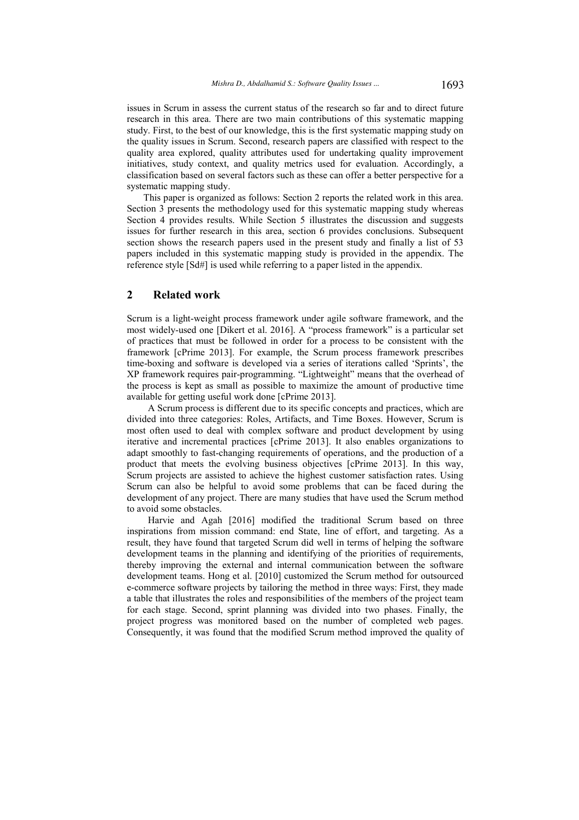issues in Scrum in assess the current status of the research so far and to direct future research in this area. There are two main contributions of this systematic mapping study. First, to the best of our knowledge, this is the first systematic mapping study on the quality issues in Scrum. Second, research papers are classified with respect to the quality area explored, quality attributes used for undertaking quality improvement initiatives, study context, and quality metrics used for evaluation. Accordingly, a classification based on several factors such as these can offer a better perspective for a systematic mapping study.

This paper is organized as follows: Section 2 reports the related work in this area. Section 3 presents the methodology used for this systematic mapping study whereas Section 4 provides results. While Section 5 illustrates the discussion and suggests issues for further research in this area, section 6 provides conclusions. Subsequent section shows the research papers used in the present study and finally a list of 53 papers included in this systematic mapping study is provided in the appendix. The reference style [Sd#] is used while referring to a paper listed in the appendix.

### $\overline{2}$ **Related work**

Scrum is a light-weight process framework under agile software framework, and the most widely-used one [Dikert et al. 2016]. A "process framework" is a particular set of practices that must be followed in order for a process to be consistent with the framework [cPrime 2013]. For example, the Scrum process framework prescribes time-boxing and software is developed via a series of iterations called 'Sprints', the XP framework requires pair-programming. "Lightweight" means that the overhead of the process is kept as small as possible to maximize the amount of productive time available for getting useful work done [cPrime 2013].

A Scrum process is different due to its specific concepts and practices, which are divided into three categories: Roles, Artifacts, and Time Boxes. However, Scrum is most often used to deal with complex software and product development by using iterative and incremental practices [cPrime 2013]. It also enables organizations to adapt smoothly to fast-changing requirements of operations, and the production of a product that meets the evolving business objectives [cPrime 2013]. In this way, Scrum projects are assisted to achieve the highest customer satisfaction rates. Using Scrum can also be helpful to avoid some problems that can be faced during the development of any project. There are many studies that have used the Scrum method to avoid some obstacles.

Harvie and Agah [2016] modified the traditional Scrum based on three inspirations from mission command: end State, line of effort, and targeting. As a result, they have found that targeted Scrum did well in terms of helping the software development teams in the planning and identifying of the priorities of requirements, thereby improving the external and internal communication between the software development teams. Hong et al. [2010] customized the Scrum method for outsourced e-commerce software projects by tailoring the method in three ways: First, they made a table that illustrates the roles and responsibilities of the members of the project team for each stage. Second, sprint planning was divided into two phases. Finally, the project progress was monitored based on the number of completed web pages. Consequently, it was found that the modified Scrum method improved the quality of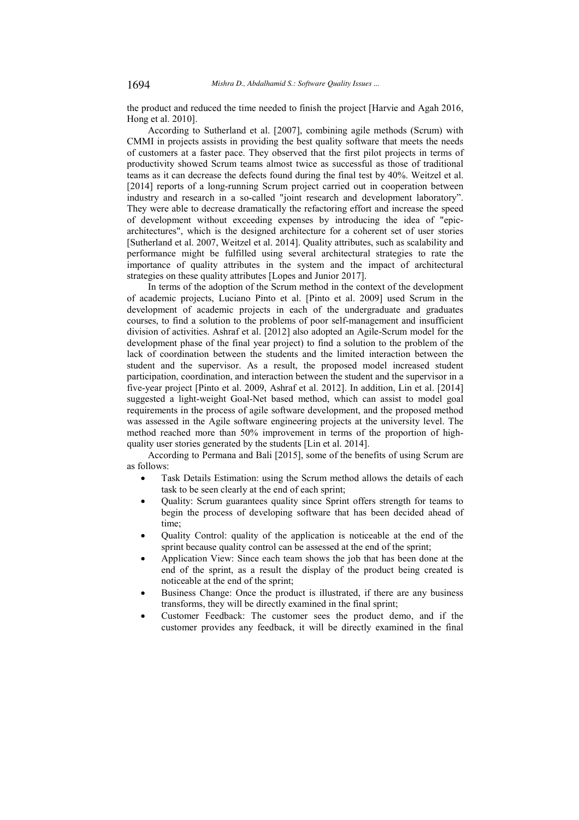the product and reduced the time needed to finish the project [Harvie and Agah 2016, Hong et al. 2010].

According to Sutherland et al. [2007], combining agile methods (Scrum) with CMMI in projects assists in providing the best quality software that meets the needs of customers at a faster pace. They observed that the first pilot projects in terms of productivity showed Scrum teams almost twice as successful as those of traditional teams as it can decrease the defects found during the final test by 40%. Weitzel et al. [2014] reports of a long-running Scrum project carried out in cooperation between industry and research in a so-called "joint research and development laboratory". They were able to decrease dramatically the refactoring effort and increase the speed of development without exceeding expenses by introducing the idea of "epicarchitectures", which is the designed architecture for a coherent set of user stories [Sutherland et al. 2007, Weitzel et al. 2014]. Quality attributes, such as scalability and performance might be fulfilled using several architectural strategies to rate the importance of quality attributes in the system and the impact of architectural strategies on these quality attributes [Lopes and Junior 2017].

In terms of the adoption of the Scrum method in the context of the development of academic projects, Luciano Pinto et al. [Pinto et al. 2009] used Scrum in the development of academic projects in each of the undergraduate and graduates courses, to find a solution to the problems of poor self-management and insufficient division of activities. Ashraf et al. [2012] also adopted an Agile-Scrum model for the development phase of the final year project) to find a solution to the problem of the lack of coordination between the students and the limited interaction between the student and the supervisor. As a result, the proposed model increased student participation, coordination, and interaction between the student and the supervisor in a five-year project [Pinto et al. 2009, Ashraf et al. 2012]. In addition, Lin et al. [2014] suggested a light-weight Goal-Net based method, which can assist to model goal requirements in the process of agile software development, and the proposed method was assessed in the Agile software engineering projects at the university level. The method reached more than 50% improvement in terms of the proportion of highquality user stories generated by the students [Lin et al. 2014].

According to Permana and Bali [2015], some of the benefits of using Scrum are as follows:

- Task Details Estimation: using the Scrum method allows the details of each task to be seen clearly at the end of each sprint;
- Quality: Scrum guarantees quality since Sprint offers strength for teams to begin the process of developing software that has been decided ahead of time<sup>.</sup>
- Quality Control: quality of the application is noticeable at the end of the sprint because quality control can be assessed at the end of the sprint;
- Application View: Since each team shows the job that has been done at the end of the sprint, as a result the display of the product being created is noticeable at the end of the sprint;
- Business Change: Once the product is illustrated, if there are any business transforms, they will be directly examined in the final sprint;
- Customer Feedback: The customer sees the product demo, and if the customer provides any feedback, it will be directly examined in the final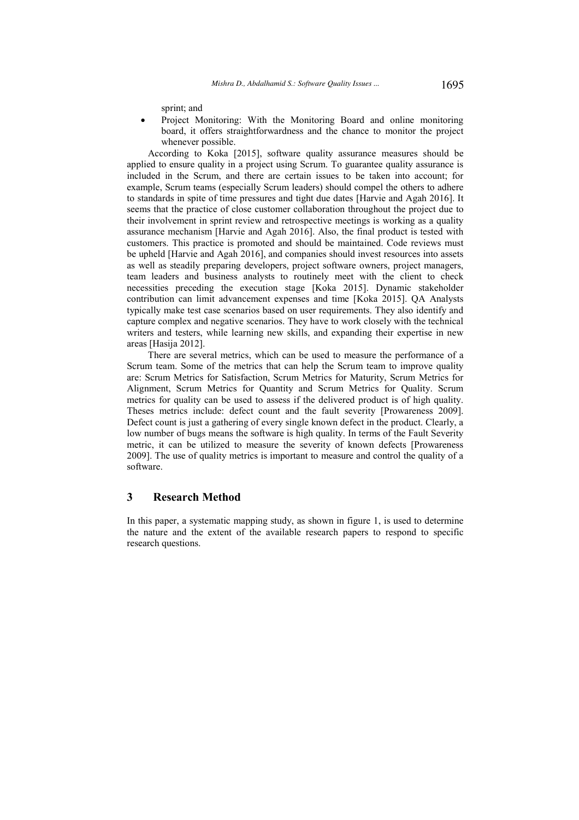sprint; and

Project Monitoring: With the Monitoring Board and online monitoring board, it offers straightforwardness and the chance to monitor the project whenever possible.

According to Koka [2015], software quality assurance measures should be applied to ensure quality in a project using Scrum. To guarantee quality assurance is included in the Scrum, and there are certain issues to be taken into account; for example, Scrum teams (especially Scrum leaders) should compel the others to adhere to standards in spite of time pressures and tight due dates [Harvie and Agah 2016]. It seems that the practice of close customer collaboration throughout the project due to their involvement in sprint review and retrospective meetings is working as a quality assurance mechanism [Harvie and Agah 2016]. Also, the final product is tested with customers. This practice is promoted and should be maintained. Code reviews must be upheld [Harvie and Agah 2016], and companies should invest resources into assets as well as steadily preparing developers, project software owners, project managers, team leaders and business analysts to routinely meet with the client to check necessities preceding the execution stage [Koka 2015]. Dynamic stakeholder contribution can limit advancement expenses and time [Koka 2015]. QA Analysts typically make test case scenarios based on user requirements. They also identify and capture complex and negative scenarios. They have to work closely with the technical writers and testers, while learning new skills, and expanding their expertise in new areas [Hasija 2012].

There are several metrics, which can be used to measure the performance of a Scrum team. Some of the metrics that can help the Scrum team to improve quality are: Scrum Metrics for Satisfaction, Scrum Metrics for Maturity, Scrum Metrics for Alignment, Scrum Metrics for Quantity and Scrum Metrics for Quality. Scrum metrics for quality can be used to assess if the delivered product is of high quality. Theses metrics include: defect count and the fault severity [Prowareness 2009]. Defect count is just a gathering of every single known defect in the product. Clearly, a low number of bugs means the software is high quality. In terms of the Fault Severity metric, it can be utilized to measure the severity of known defects [Prowareness] 2009]. The use of quality metrics is important to measure and control the quality of a software.

#### 3 **Research Method**

In this paper, a systematic mapping study, as shown in figure 1, is used to determine the nature and the extent of the available research papers to respond to specific research questions.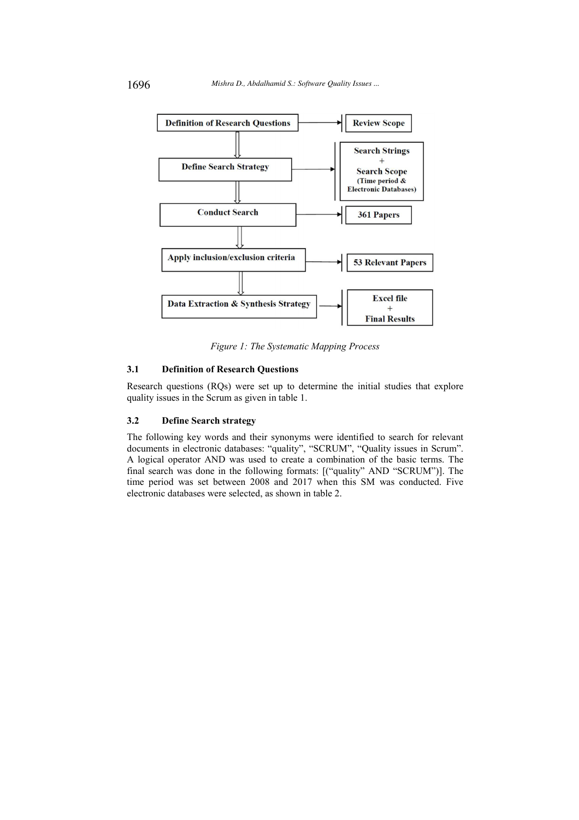

Figure 1: The Systematic Mapping Process

#### $3.1$ **Definition of Research Ouestions**

Research questions (RQs) were set up to determine the initial studies that explore quality issues in the Scrum as given in table 1.

#### $3.2$ **Define Search strategy**

The following key words and their synonyms were identified to search for relevant documents in electronic databases: "quality", "SCRUM", "Quality issues in Scrum". A logical operator AND was used to create a combination of the basic terms. The final search was done in the following formats: [("quality" AND "SCRUM")]. The time period was set between 2008 and 2017 when this SM was conducted. Five electronic databases were selected, as shown in table 2.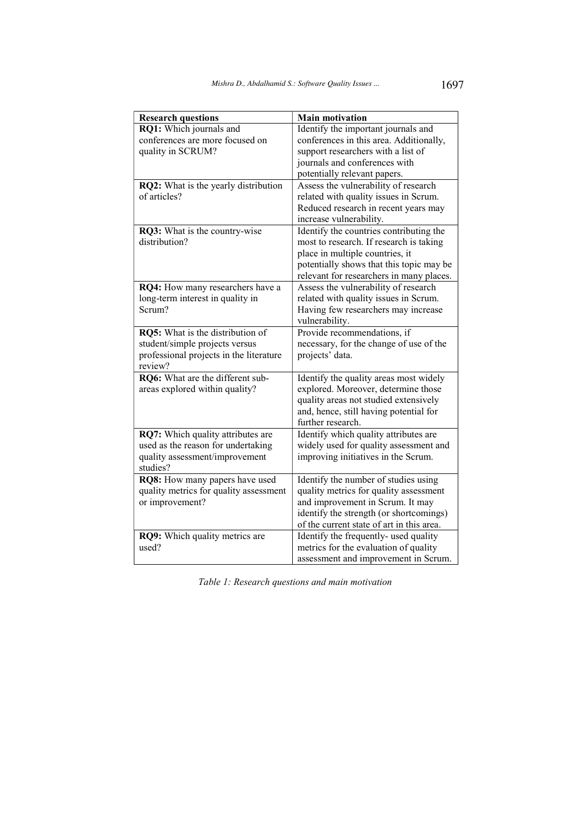| <b>Research questions</b>               | <b>Main motivation</b>                    |
|-----------------------------------------|-------------------------------------------|
| RQ1: Which journals and                 | Identify the important journals and       |
| conferences are more focused on         | conferences in this area. Additionally,   |
| quality in SCRUM?                       | support researchers with a list of        |
|                                         | journals and conferences with             |
|                                         | potentially relevant papers.              |
| RQ2: What is the yearly distribution    | Assess the vulnerability of research      |
| of articles?                            | related with quality issues in Scrum.     |
|                                         | Reduced research in recent years may      |
|                                         | increase vulnerability.                   |
| RQ3: What is the country-wise           | Identify the countries contributing the   |
| distribution?                           | most to research. If research is taking   |
|                                         | place in multiple countries, it           |
|                                         | potentially shows that this topic may be  |
|                                         | relevant for researchers in many places.  |
| RQ4: How many researchers have a        | Assess the vulnerability of research      |
| long-term interest in quality in        | related with quality issues in Scrum.     |
| Scrum?                                  | Having few researchers may increase       |
|                                         | vulnerability.                            |
| RQ5: What is the distribution of        | Provide recommendations, if               |
| student/simple projects versus          | necessary, for the change of use of the   |
| professional projects in the literature | projects' data.                           |
| review?                                 |                                           |
| RQ6: What are the different sub-        | Identify the quality areas most widely    |
| areas explored within quality?          | explored. Moreover, determine those       |
|                                         | quality areas not studied extensively     |
|                                         | and, hence, still having potential for    |
|                                         | further research.                         |
| RQ7: Which quality attributes are       | Identify which quality attributes are     |
| used as the reason for undertaking      | widely used for quality assessment and    |
| quality assessment/improvement          | improving initiatives in the Scrum.       |
| studies?                                |                                           |
| RQ8: How many papers have used          | Identify the number of studies using      |
| quality metrics for quality assessment  | quality metrics for quality assessment    |
| or improvement?                         | and improvement in Scrum. It may          |
|                                         | identify the strength (or shortcomings)   |
|                                         | of the current state of art in this area. |
| RQ9: Which quality metrics are          | Identify the frequently- used quality     |
| used?                                   | metrics for the evaluation of quality     |
|                                         | assessment and improvement in Scrum.      |

Table 1: Research questions and main motivation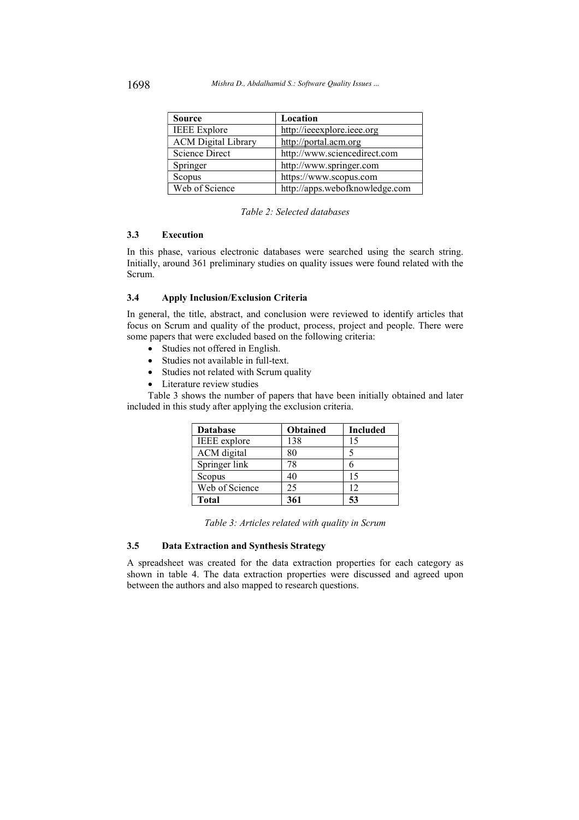| <b>Source</b>              | Location                       |
|----------------------------|--------------------------------|
| <b>IEEE</b> Explore        | http://ieeexplore.ieee.org     |
| <b>ACM Digital Library</b> | http://portal.acm.org          |
| Science Direct             | http://www.sciencedirect.com   |
| Springer                   | http://www.springer.com        |
| Scopus                     | https://www.scopus.com         |
| Web of Science             | http://apps.webofknowledge.com |

Table 2: Selected databases

#### $3.3$ **Execution**

In this phase, various electronic databases were searched using the search string. Initially, around 361 preliminary studies on quality issues were found related with the Scrum.

#### $3.4$ **Apply Inclusion/Exclusion Criteria**

In general, the title, abstract, and conclusion were reviewed to identify articles that focus on Scrum and quality of the product, process, project and people. There were some papers that were excluded based on the following criteria:

- Studies not offered in English.
- Studies not available in full-text.
- Studies not related with Scrum quality
- Literature review studies

Table 3 shows the number of papers that have been initially obtained and later included in this study after applying the exclusion criteria.

| <b>Database</b>    | <b>Obtained</b> | Included |
|--------------------|-----------------|----------|
| IEEE explore       | 138             |          |
| <b>ACM</b> digital | 80              |          |
| Springer link      | 78              |          |
| Scopus             | 40              | 15       |
| Web of Science     | 25              | 12       |
| <b>Total</b>       | 361             |          |

| Table 3: Articles related with quality in Scrum |  |
|-------------------------------------------------|--|
|-------------------------------------------------|--|

#### $3.5$ **Data Extraction and Synthesis Strategy**

A spreadsheet was created for the data extraction properties for each category as shown in table 4. The data extraction properties were discussed and agreed upon between the authors and also mapped to research questions.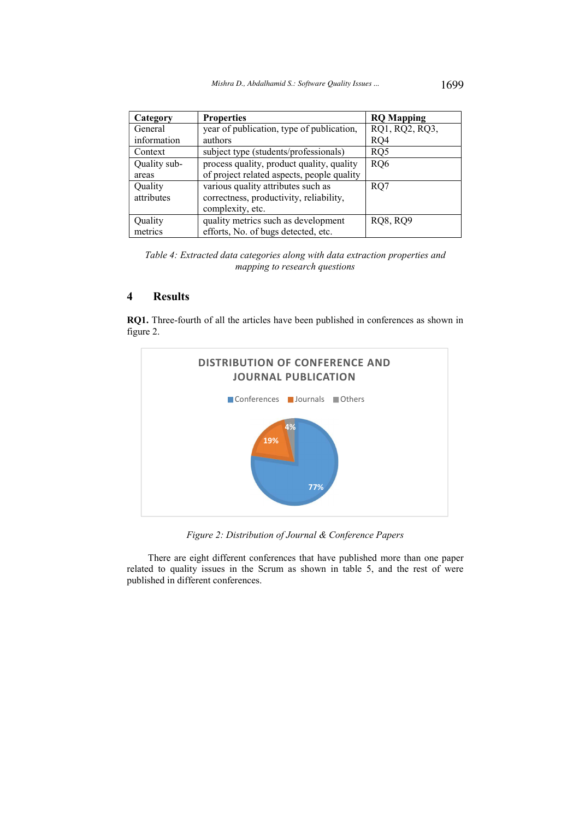| Category     | <b>Properties</b>                          | <b>RQ</b> Mapping |
|--------------|--------------------------------------------|-------------------|
| General      | year of publication, type of publication,  | RQ1, RQ2, RQ3,    |
| information  | authors                                    | RQ4               |
| Context      | subject type (students/professionals)      | RQ5               |
| Quality sub- | process quality, product quality, quality  | RQ6               |
| areas        | of project related aspects, people quality |                   |
| Quality      | various quality attributes such as         | RO7               |
| attributes   | correctness, productivity, reliability,    |                   |
|              | complexity, etc.                           |                   |
| Quality      | quality metrics such as development        | <b>RQ8, RQ9</b>   |
| metrics      | efforts, No. of bugs detected, etc.        |                   |

Table 4: Extracted data categories along with data extraction properties and mapping to research questions

### $\overline{\mathbf{A}}$ **Results**

RQ1. Three-fourth of all the articles have been published in conferences as shown in figure 2.



Figure 2: Distribution of Journal & Conference Papers

There are eight different conferences that have published more than one paper related to quality issues in the Scrum as shown in table 5, and the rest of were published in different conferences.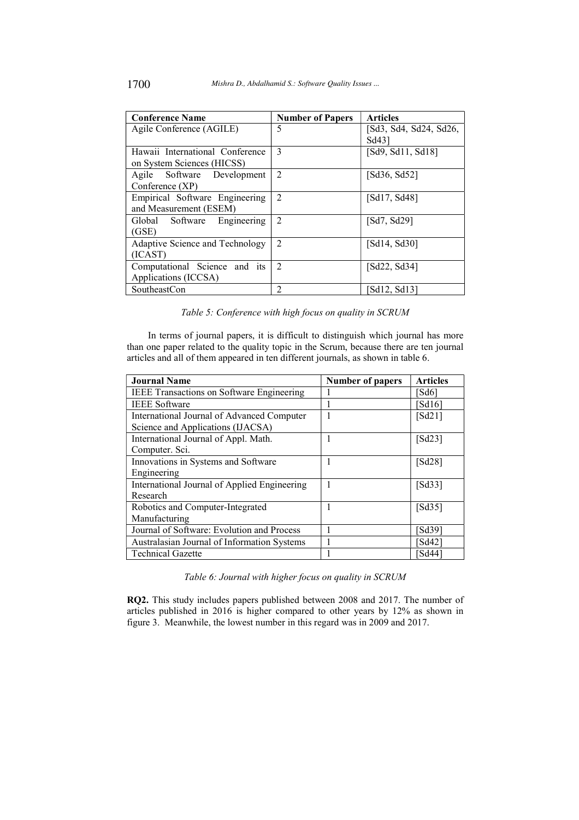| <b>Conference Name</b>          | <b>Number of Papers</b> | <b>Articles</b>        |
|---------------------------------|-------------------------|------------------------|
| Agile Conference (AGILE)        | 5                       | [Sd3, Sd4, Sd24, Sd26, |
|                                 |                         | Sd431                  |
| Hawaii International Conference | 3                       | [Sd9, Sd11, Sd18]      |
| on System Sciences (HICSS)      |                         |                        |
| Agile Software Development      | $\mathfrak{D}$          | [Sd36, Sd52]           |
| Conference $(XP)$               |                         |                        |
| Empirical Software Engineering  | $\mathfrak{D}$          | [Sd17, Sd48]           |
| and Measurement (ESEM)          |                         |                        |
| Global Software<br>Engineering  | $\mathfrak{D}$          | [Sd7, Sd29]            |
| (GSE)                           |                         |                        |
| Adaptive Science and Technology | $\overline{2}$          | [Sd14, Sd30]           |
| (ICAST)                         |                         |                        |
| Computational Science and its   | $\mathfrak{D}$          | [Sd22, Sd34]           |
| Applications (ICCSA)            |                         |                        |
| SoutheastCon                    | $\overline{2}$          | Sd12, Sd13]            |

Table 5: Conference with high focus on quality in SCRUM

In terms of journal papers, it is difficult to distinguish which journal has more than one paper related to the quality topic in the Scrum, because there are ten journal articles and all of them appeared in ten different journals, as shown in table 6.

| <b>Journal Name</b>                              | <b>Number of papers</b> | <b>Articles</b>   |
|--------------------------------------------------|-------------------------|-------------------|
| <b>IEEE Transactions on Software Engineering</b> |                         | `Sd6]             |
| <b>IEEE</b> Software                             |                         | [Sd16]            |
| International Journal of Advanced Computer       |                         | [Sd21]            |
| Science and Applications (IJACSA)                |                         |                   |
| International Journal of Appl. Math.             |                         | [Sd23]            |
| Computer. Sci.                                   |                         |                   |
| Innovations in Systems and Software              |                         | [Sd28]            |
| Engineering                                      |                         |                   |
| International Journal of Applied Engineering     |                         | [Sd33]            |
| Research                                         |                         |                   |
| Robotics and Computer-Integrated                 |                         | [Sd35]            |
| Manufacturing                                    |                         |                   |
| Journal of Software: Evolution and Process       |                         | Sd39              |
| Australasian Journal of Information Systems      |                         | Sd42              |
| <b>Technical Gazette</b>                         |                         | Sd44 <sup>-</sup> |

Table 6: Journal with higher focus on quality in SCRUM

RQ2. This study includes papers published between 2008 and 2017. The number of articles published in 2016 is higher compared to other years by 12% as shown in figure 3. Meanwhile, the lowest number in this regard was in 2009 and 2017.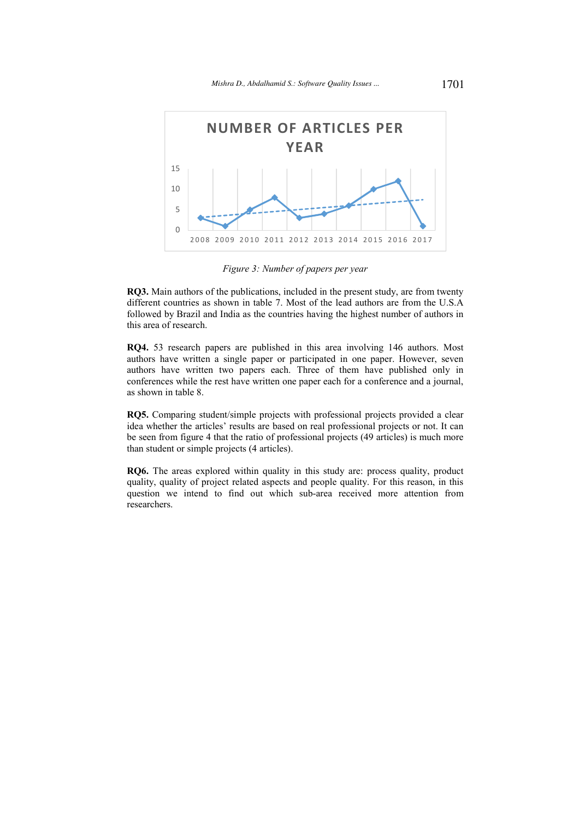

Figure 3: Number of papers per year

RQ3. Main authors of the publications, included in the present study, are from twenty different countries as shown in table 7. Most of the lead authors are from the U.S.A followed by Brazil and India as the countries having the highest number of authors in this area of research.

RQ4. 53 research papers are published in this area involving 146 authors. Most authors have written a single paper or participated in one paper. However, seven authors have written two papers each. Three of them have published only in conferences while the rest have written one paper each for a conference and a journal, as shown in table 8.

RQ5. Comparing student/simple projects with professional projects provided a clear idea whether the articles' results are based on real professional projects or not. It can be seen from figure 4 that the ratio of professional projects (49 articles) is much more than student or simple projects (4 articles).

RQ6. The areas explored within quality in this study are: process quality, product quality, quality of project related aspects and people quality. For this reason, in this question we intend to find out which sub-area received more attention from researchers.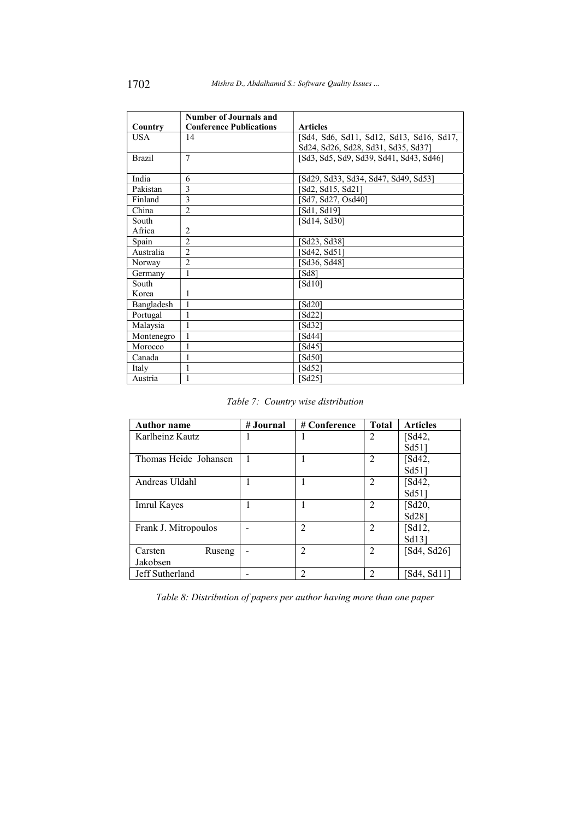|               | <b>Number of Journals and</b>  |                                          |
|---------------|--------------------------------|------------------------------------------|
| Country       | <b>Conference Publications</b> | <b>Articles</b>                          |
| <b>USA</b>    | 14                             | [Sd4, Sd6, Sd11, Sd12, Sd13, Sd16, Sd17, |
|               |                                | Sd24, Sd26, Sd28, Sd31, Sd35, Sd37]      |
| <b>Brazil</b> | $\overline{7}$                 | [Sd3, Sd5, Sd9, Sd39, Sd41, Sd43, Sd46]  |
|               |                                |                                          |
| India         | 6                              | [Sd29, Sd33, Sd34, Sd47, Sd49, Sd53]     |
| Pakistan      | 3                              | [Sd2, Sd15, Sd21]                        |
| Finland       | 3                              | [Sd7, Sd27, Osd40]                       |
| China         | $\overline{c}$                 | [Sd1, Sd19]                              |
| South         |                                | [Sd14, Sd30]                             |
| Africa        | $\overline{2}$                 |                                          |
| Spain         | $\mathfrak{D}$                 | [Sd23, Sd38]                             |
| Australia     | $\mathfrak{D}$                 | [Sd42, Sd51]                             |
| Norway        | $\overline{2}$                 | Sd36, Sd48]                              |
| Germany       | 1                              | [Sd8]                                    |
| South         |                                | [Sd10]                                   |
| Korea         | 1                              |                                          |
| Bangladesh    | 1                              | $[S d20]$                                |
| Portugal      | 1                              | Sd22                                     |
| Malaysia      | 1                              | Sd321                                    |
| Montenegro    | 1                              | `Sd441                                   |
| Morocco       | 1                              | Sd45]                                    |
| Canada        | 1                              | Sd501                                    |
| Italy         | 1                              | Sd521                                    |
| Austria       | 1                              | [Sd25]                                   |

Table 7: Country wise distribution

| <b>Author name</b>    | # Journal | # Conference   | <b>Total</b>   | <b>Articles</b> |
|-----------------------|-----------|----------------|----------------|-----------------|
| Karlheinz Kautz       |           |                | $\overline{2}$ | [Sd42,          |
|                       |           |                |                | $Sd51$ ]        |
| Thomas Heide Johansen |           |                | 2              | [Sd42,          |
|                       |           |                |                | Sd511           |
| Andreas Uldahl        |           |                | 2              | [Sd42,          |
|                       |           |                |                | $Sd51$ ]        |
| Imrul Kayes           |           |                | 2              | $[$ d20,        |
|                       |           |                |                | Sd28]           |
| Frank J. Mitropoulos  |           | $\mathfrak{D}$ | 2              | [Sd12,          |
|                       |           |                |                | Sd131           |
| Carsten<br>Ruseng     |           | $\mathfrak{D}$ | $\overline{2}$ | $[Sd4, Sd26]$   |
| Jakobsen              |           |                |                |                 |
| Jeff Sutherland       |           |                | $\mathfrak{D}$ | [Sd4, Sd11]     |

Table 8: Distribution of papers per author having more than one paper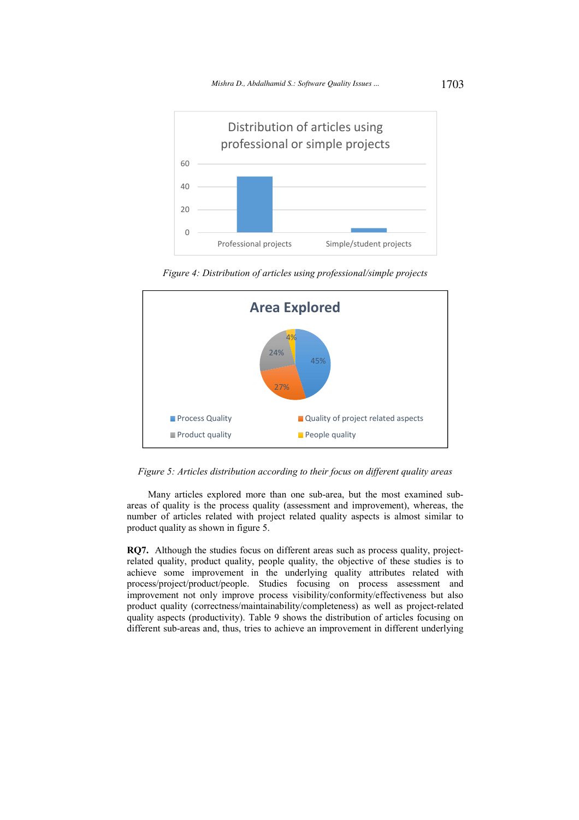

Figure 4: Distribution of articles using professional/simple projects



Figure 5: Articles distribution according to their focus on different quality areas

Many articles explored more than one sub-area, but the most examined subareas of quality is the process quality (assessment and improvement), whereas, the number of articles related with project related quality aspects is almost similar to product quality as shown in figure 5.

RQ7. Although the studies focus on different areas such as process quality, projectrelated quality, product quality, people quality, the objective of these studies is to achieve some improvement in the underlying quality attributes related with process/project/product/people. Studies focusing on process assessment and improvement not only improve process visibility/conformity/effectiveness but also product quality (correctness/maintainability/completeness) as well as project-related quality aspects (productivity). Table 9 shows the distribution of articles focusing on different sub-areas and, thus, tries to achieve an improvement in different underlying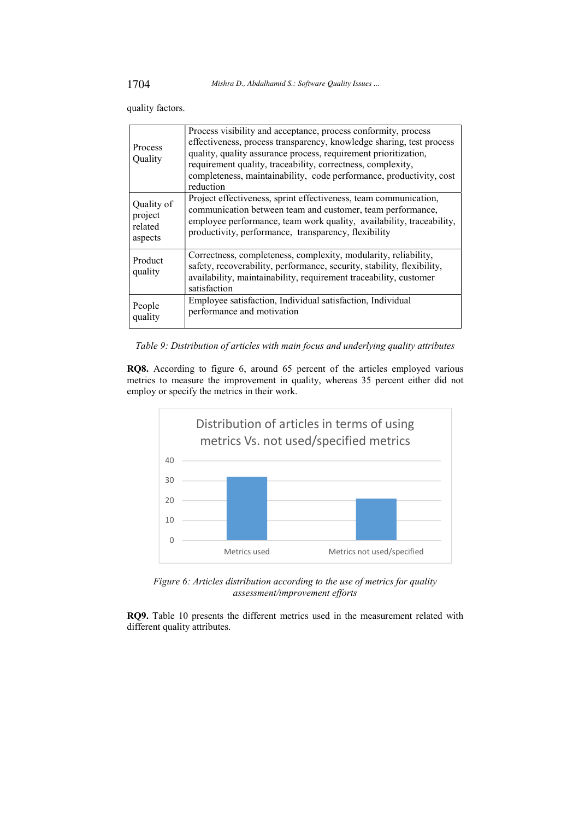quality factors.

| <b>Process</b><br>Quality | Process visibility and acceptance, process conformity, process<br>effectiveness, process transparency, knowledge sharing, test process<br>quality, quality assurance process, requirement prioritization,<br>requirement quality, traceability, correctness, complexity,<br>completeness, maintainability, code performance, productivity, cost<br>reduction |
|---------------------------|--------------------------------------------------------------------------------------------------------------------------------------------------------------------------------------------------------------------------------------------------------------------------------------------------------------------------------------------------------------|
| Quality of                | Project effectiveness, sprint effectiveness, team communication,                                                                                                                                                                                                                                                                                             |
| project                   | communication between team and customer, team performance,                                                                                                                                                                                                                                                                                                   |
| related                   | employee performance, team work quality, availability, traceability,                                                                                                                                                                                                                                                                                         |
| aspects                   | productivity, performance, transparency, flexibility                                                                                                                                                                                                                                                                                                         |
| Product<br>quality        | Correctness, completeness, complexity, modularity, reliability,<br>safety, recoverability, performance, security, stability, flexibility,<br>availability, maintainability, requirement traceability, customer<br>satisfaction                                                                                                                               |
| People                    | Employee satisfaction, Individual satisfaction, Individual                                                                                                                                                                                                                                                                                                   |
| quality                   | performance and motivation                                                                                                                                                                                                                                                                                                                                   |

Table 9: Distribution of articles with main focus and underlying quality attributes

RQ8. According to figure 6, around 65 percent of the articles employed various metrics to measure the improvement in quality, whereas 35 percent either did not employ or specify the metrics in their work.



Figure 6: Articles distribution according to the use of metrics for quality assessment/improvement efforts

RQ9. Table 10 presents the different metrics used in the measurement related with different quality attributes.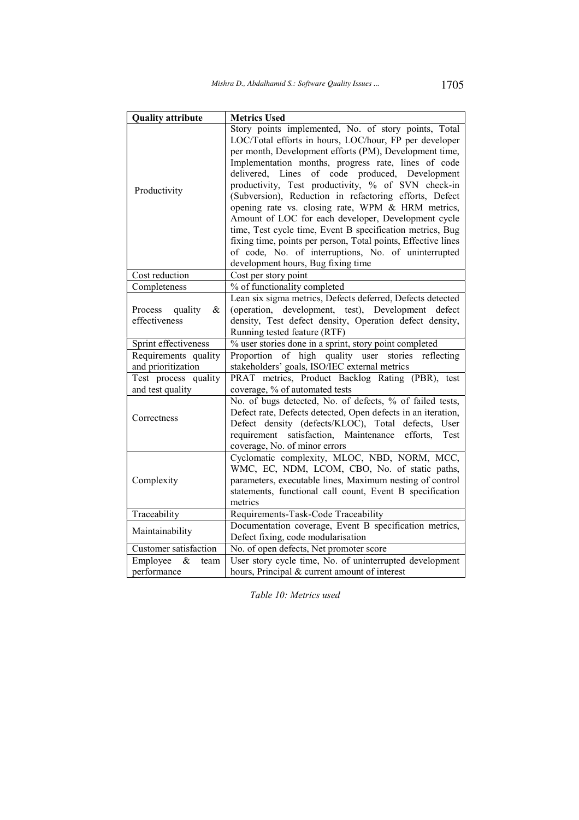| <b>Quality attribute</b>                                                         | <b>Metrics Used</b>                                           |  |  |
|----------------------------------------------------------------------------------|---------------------------------------------------------------|--|--|
|                                                                                  | Story points implemented, No. of story points, Total          |  |  |
|                                                                                  | LOC/Total efforts in hours, LOC/hour, FP per developer        |  |  |
|                                                                                  | per month, Development efforts (PM), Development time,        |  |  |
|                                                                                  | Implementation months, progress rate, lines of code           |  |  |
|                                                                                  | of code produced, Development<br>delivered, Lines             |  |  |
|                                                                                  | productivity, Test productivity, % of SVN check-in            |  |  |
| Productivity                                                                     | (Subversion), Reduction in refactoring efforts, Defect        |  |  |
|                                                                                  | opening rate vs. closing rate, WPM & HRM metrics,             |  |  |
|                                                                                  | Amount of LOC for each developer, Development cycle           |  |  |
|                                                                                  | time, Test cycle time, Event B specification metrics, Bug     |  |  |
|                                                                                  | fixing time, points per person, Total points, Effective lines |  |  |
|                                                                                  | of code, No. of interruptions, No. of uninterrupted           |  |  |
|                                                                                  | development hours, Bug fixing time                            |  |  |
| Cost reduction                                                                   | Cost per story point                                          |  |  |
| Completeness                                                                     | % of functionality completed                                  |  |  |
|                                                                                  | Lean six sigma metrics, Defects deferred, Defects detected    |  |  |
| Process<br>quality<br>&                                                          | (operation, development, test), Development defect            |  |  |
| effectiveness                                                                    | density, Test defect density, Operation defect density,       |  |  |
|                                                                                  | Running tested feature (RTF)                                  |  |  |
| Sprint effectiveness                                                             | % user stories done in a sprint, story point completed        |  |  |
| Requirements quality                                                             | Proportion of high quality user<br>stories<br>reflecting      |  |  |
| and prioritization                                                               | stakeholders' goals, ISO/IEC external metrics                 |  |  |
| Test process quality                                                             | PRAT metrics, Product Backlog Rating (PBR), test              |  |  |
| and test quality                                                                 | coverage, % of automated tests                                |  |  |
|                                                                                  | No. of bugs detected, No. of defects, % of failed tests,      |  |  |
| Correctness                                                                      | Defect rate, Defects detected, Open defects in an iteration,  |  |  |
|                                                                                  | Defect density (defects/KLOC), Total<br>defects,<br>User      |  |  |
|                                                                                  | satisfaction, Maintenance<br>requirement<br>efforts,<br>Test  |  |  |
|                                                                                  | coverage, No. of minor errors                                 |  |  |
|                                                                                  | Cyclomatic complexity, MLOC, NBD, NORM, MCC,                  |  |  |
|                                                                                  | WMC, EC, NDM, LCOM, CBO, No. of static paths,                 |  |  |
| Complexity                                                                       | parameters, executable lines, Maximum nesting of control      |  |  |
|                                                                                  | statements, functional call count, Event B specification      |  |  |
|                                                                                  | metrics                                                       |  |  |
| Traceability                                                                     | Requirements-Task-Code Traceability                           |  |  |
| Maintainability                                                                  | Documentation coverage, Event B specification metrics,        |  |  |
|                                                                                  | Defect fixing, code modularisation                            |  |  |
| Customer satisfaction                                                            | No. of open defects, Net promoter score                       |  |  |
| User story cycle time, No. of uninterrupted development<br>Employee<br>&<br>team |                                                               |  |  |
| performance                                                                      | hours, Principal & current amount of interest                 |  |  |

Table 10: Metrics used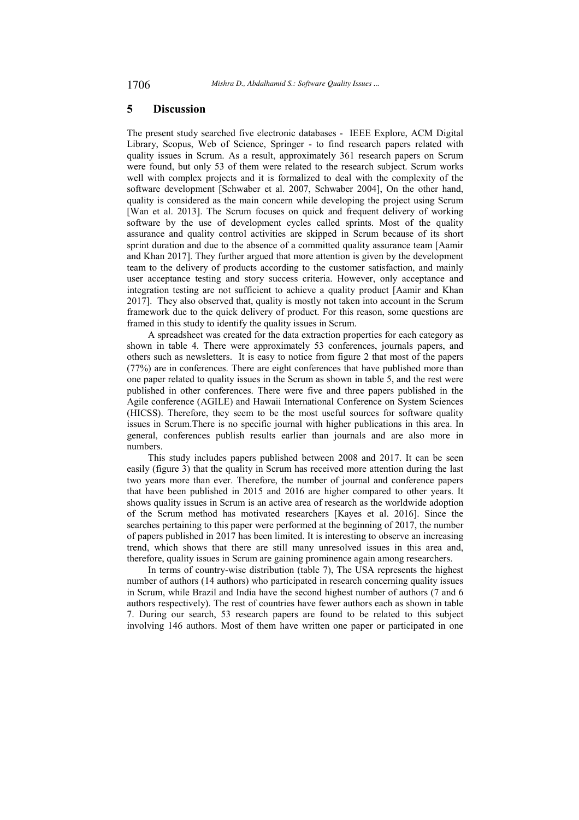#### 5 **Discussion**

The present study searched five electronic databases - IEEE Explore, ACM Digital Library, Scopus, Web of Science, Springer - to find research papers related with quality issues in Scrum. As a result, approximately 361 research papers on Scrum were found, but only 53 of them were related to the research subject. Scrum works well with complex projects and it is formalized to deal with the complexity of the software development [Schwaber et al. 2007, Schwaber 2004], On the other hand, quality is considered as the main concern while developing the project using Scrum [Wan et al. 2013]. The Scrum focuses on quick and frequent delivery of working software by the use of development cycles called sprints. Most of the quality assurance and quality control activities are skipped in Scrum because of its short sprint duration and due to the absence of a committed quality assurance team [Aamir and Khan 2017]. They further argued that more attention is given by the development team to the delivery of products according to the customer satisfaction, and mainly user acceptance testing and story success criteria. However, only acceptance and integration testing are not sufficient to achieve a quality product [Aamir and Khan 2017]. They also observed that, quality is mostly not taken into account in the Scrum framework due to the quick delivery of product. For this reason, some questions are framed in this study to identify the quality issues in Scrum.

A spreadsheet was created for the data extraction properties for each category as shown in table 4. There were approximately 53 conferences, journals papers, and others such as newsletters. It is easy to notice from figure 2 that most of the papers (77%) are in conferences. There are eight conferences that have published more than one paper related to quality issues in the Scrum as shown in table 5, and the rest were published in other conferences. There were five and three papers published in the Agile conference (AGILE) and Hawaii International Conference on System Sciences (HICSS). Therefore, they seem to be the most useful sources for software quality issues in Scrum. There is no specific journal with higher publications in this area. In general, conferences publish results earlier than journals and are also more in numbers.

This study includes papers published between 2008 and 2017. It can be seen easily (figure 3) that the quality in Scrum has received more attention during the last two years more than ever. Therefore, the number of journal and conference papers that have been published in 2015 and 2016 are higher compared to other years. It shows quality issues in Scrum is an active area of research as the worldwide adoption of the Scrum method has motivated researchers [Kayes et al. 2016]. Since the searches pertaining to this paper were performed at the beginning of 2017, the number of papers published in 2017 has been limited. It is interesting to observe an increasing trend, which shows that there are still many unresolved issues in this area and, therefore, quality issues in Scrum are gaining prominence again among researchers.

In terms of country-wise distribution (table 7), The USA represents the highest number of authors (14 authors) who participated in research concerning quality issues in Scrum, while Brazil and India have the second highest number of authors (7 and 6) authors respectively). The rest of countries have fewer authors each as shown in table 7. During our search, 53 research papers are found to be related to this subject involving 146 authors. Most of them have written one paper or participated in one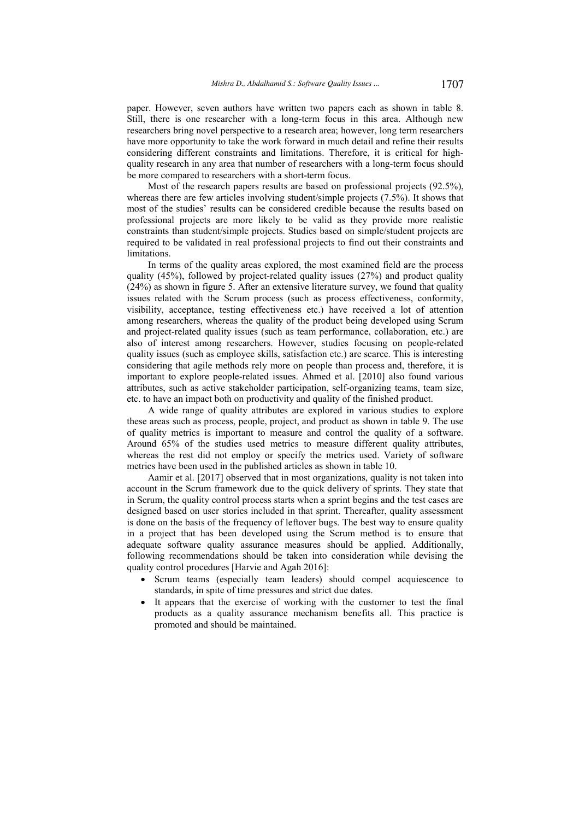paper. However, seven authors have written two papers each as shown in table 8. Still, there is one researcher with a long-term focus in this area. Although new researchers bring novel perspective to a research area; however, long term researchers have more opportunity to take the work forward in much detail and refine their results considering different constraints and limitations. Therefore, it is critical for highquality research in any area that number of researchers with a long-term focus should be more compared to researchers with a short-term focus.

Most of the research papers results are based on professional projects (92.5%), whereas there are few articles involving student/simple projects  $(7.5\%)$ . It shows that most of the studies' results can be considered credible because the results based on professional projects are more likely to be valid as they provide more realistic constraints than student/simple projects. Studies based on simple/student projects are required to be validated in real professional projects to find out their constraints and limitations.

In terms of the quality areas explored, the most examined field are the process quality  $(45\%)$ , followed by project-related quality issues  $(27\%)$  and product quality  $(24%)$  as shown in figure 5. After an extensive literature survey, we found that quality issues related with the Scrum process (such as process effectiveness, conformity, visibility, acceptance, testing effectiveness etc.) have received a lot of attention among researchers, whereas the quality of the product being developed using Scrum and project-related quality issues (such as team performance, collaboration, etc.) are also of interest among researchers. However, studies focusing on people-related quality issues (such as employee skills, satisfaction etc.) are scarce. This is interesting considering that agile methods rely more on people than process and, therefore, it is important to explore people-related issues. Ahmed et al. [2010] also found various attributes, such as active stakeholder participation, self-organizing teams, team size, etc. to have an impact both on productivity and quality of the finished product.

A wide range of quality attributes are explored in various studies to explore these areas such as process, people, project, and product as shown in table 9. The use of quality metrics is important to measure and control the quality of a software. Around 65% of the studies used metrics to measure different quality attributes, whereas the rest did not employ or specify the metrics used. Variety of software metrics have been used in the published articles as shown in table 10.

Aamir et al. [2017] observed that in most organizations, quality is not taken into account in the Scrum framework due to the quick delivery of sprints. They state that in Scrum, the quality control process starts when a sprint begins and the test cases are designed based on user stories included in that sprint. Thereafter, quality assessment is done on the basis of the frequency of leftover bugs. The best way to ensure quality in a project that has been developed using the Scrum method is to ensure that adequate software quality assurance measures should be applied. Additionally, following recommendations should be taken into consideration while devising the quality control procedures [Harvie and Agah 2016]:

- Scrum teams (especially team leaders) should compel acquiescence to standards, in spite of time pressures and strict due dates.
- It appears that the exercise of working with the customer to test the final products as a quality assurance mechanism benefits all. This practice is promoted and should be maintained.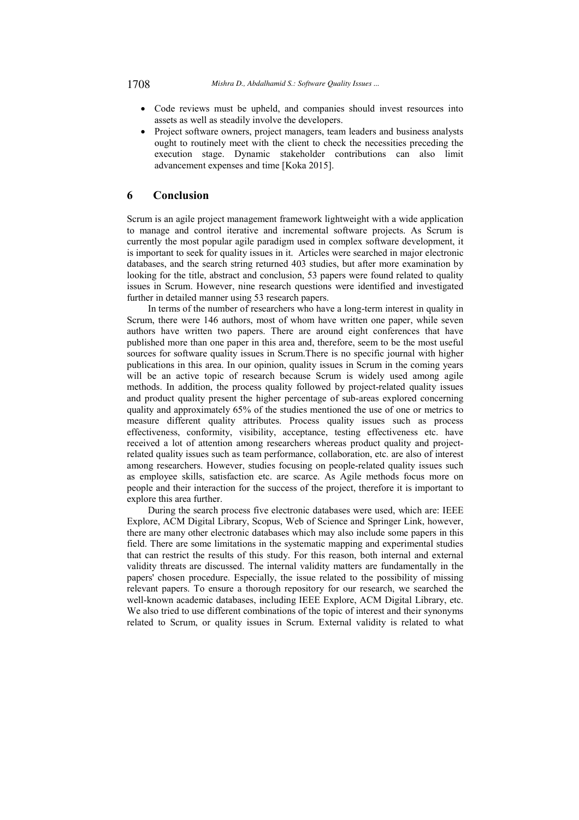- Code reviews must be upheld, and companies should invest resources into assets as well as steadily involve the developers.
- Project software owners, project managers, team leaders and business analysts ought to routinely meet with the client to check the necessities preceding the execution stage. Dynamic stakeholder contributions can also limit advancement expenses and time [Koka 2015].

### 6 Conclusion

Scrum is an agile project management framework lightweight with a wide application to manage and control iterative and incremental software projects. As Scrum is currently the most popular agile paradigm used in complex software development, it is important to seek for quality issues in it. Articles were searched in major electronic databases, and the search string returned 403 studies, but after more examination by looking for the title, abstract and conclusion, 53 papers were found related to quality issues in Scrum. However, nine research questions were identified and investigated further in detailed manner using 53 research papers.

In terms of the number of researchers who have a long-term interest in quality in Scrum, there were 146 authors, most of whom have written one paper, while seven authors have written two papers. There are around eight conferences that have published more than one paper in this area and, therefore, seem to be the most useful sources for software quality issues in Scrum. There is no specific journal with higher publications in this area. In our opinion, quality issues in Scrum in the coming years will be an active topic of research because Scrum is widely used among agile methods. In addition, the process quality followed by project-related quality issues and product quality present the higher percentage of sub-areas explored concerning quality and approximately 65% of the studies mentioned the use of one or metrics to measure different quality attributes. Process quality issues such as process effectiveness, conformity, visibility, acceptance, testing effectiveness etc. have received a lot of attention among researchers whereas product quality and projectrelated quality issues such as team performance, collaboration, etc. are also of interest among researchers. However, studies focusing on people-related quality issues such as employee skills, satisfaction etc. are scarce. As Agile methods focus more on people and their interaction for the success of the project, therefore it is important to explore this area further.

During the search process five electronic databases were used, which are: IEEE Explore, ACM Digital Library, Scopus, Web of Science and Springer Link, however, there are many other electronic databases which may also include some papers in this field. There are some limitations in the systematic mapping and experimental studies that can restrict the results of this study. For this reason, both internal and external validity threats are discussed. The internal validity matters are fundamentally in the papers' chosen procedure. Especially, the issue related to the possibility of missing relevant papers. To ensure a thorough repository for our research, we searched the well-known academic databases, including IEEE Explore, ACM Digital Library, etc. We also tried to use different combinations of the topic of interest and their synonyms related to Scrum, or quality issues in Scrum. External validity is related to what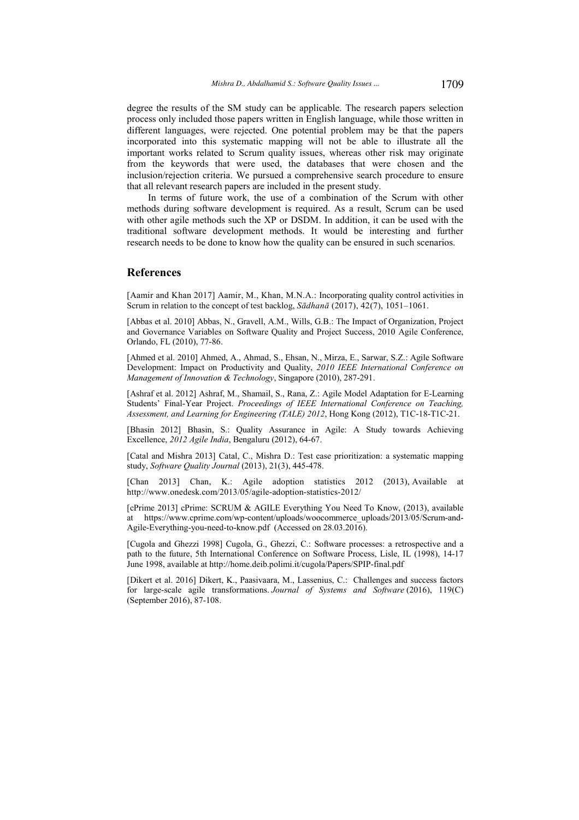degree the results of the SM study can be applicable. The research papers selection process only included those papers written in English language, while those written in different languages, were rejected. One potential problem may be that the papers incorporated into this systematic mapping will not be able to illustrate all the important works related to Scrum quality issues, whereas other risk may originate from the keywords that were used, the databases that were chosen and the inclusion/rejection criteria. We pursued a comprehensive search procedure to ensure that all relevant research papers are included in the present study.

In terms of future work, the use of a combination of the Scrum with other methods during software development is required. As a result, Scrum can be used with other agile methods such the XP or DSDM. In addition, it can be used with the traditional software development methods. It would be interesting and further research needs to be done to know how the quality can be ensured in such scenarios.

# **References**

[Aamir and Khan 2017] Aamir, M., Khan, M.N.A.: Incorporating quality control activities in Scrum in relation to the concept of test backlog, Sādhanā (2017), 42(7), 1051-1061.

[Abbas et al. 2010] Abbas, N., Gravell, A.M., Wills, G.B.: The Impact of Organization, Project and Governance Variables on Software Quality and Project Success, 2010 Agile Conference, Orlando, FL (2010), 77-86.

[Ahmed et al. 2010] Ahmed, A., Ahmad, S., Ehsan, N., Mirza, E., Sarwar, S.Z.: Agile Software Development: Impact on Productivity and Quality, 2010 IEEE International Conference on Management of Innovation & Technology, Singapore (2010), 287-291.

[Ashraf et al. 2012] Ashraf, M., Shamail, S., Rana, Z.: Agile Model Adaptation for E-Learning Students' Final-Year Project. Proceedings of IEEE International Conference on Teaching, Assessment, and Learning for Engineering (TALE) 2012, Hong Kong (2012), T1C-18-T1C-21.

[Bhasin 2012] Bhasin, S.: Quality Assurance in Agile: A Study towards Achieving Excellence, 2012 Agile India, Bengaluru (2012), 64-67.

[Catal and Mishra 2013] Catal, C., Mishra D.: Test case prioritization: a systematic mapping study, Software Quality Journal (2013), 21(3), 445-478.

[Chan 2013] Chan, K.: Agile adoption statistics 2012 (2013), Available at http://www.onedesk.com/2013/05/agile-adoption-statistics-2012/

[cPrime 2013] cPrime: SCRUM & AGILE Everything You Need To Know, (2013), available at https://www.cprime.com/wp-content/uploads/woocommerce uploads/2013/05/Scrum-and-Agile-Everything-you-need-to-know.pdf (Accessed on 28.03.2016).

[Cugola and Ghezzi 1998] Cugola, G., Ghezzi, C.: Software processes: a retrospective and a path to the future, 5th International Conference on Software Process, Lisle, IL (1998), 14-17 June 1998, available at http://home.deib.polimi.it/cugola/Papers/SPIP-final.pdf

[Dikert et al. 2016] Dikert, K., Paasivaara, M., Lassenius, C.: Challenges and success factors for large-scale agile transformations. Journal of Systems and Software (2016), 119(C) (September 2016), 87-108.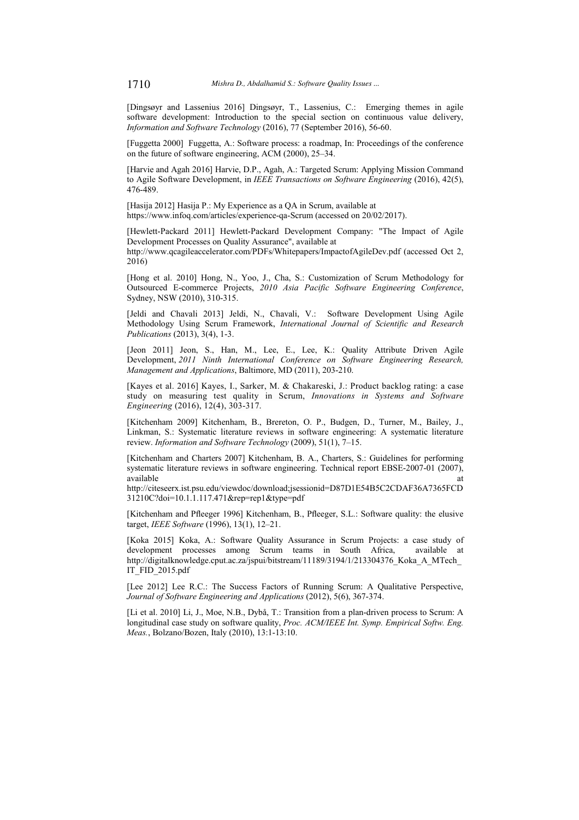[Dingsøyr and Lassenius 2016] Dingsøyr, T., Lassenius, C.: Emerging themes in agile software development: Introduction to the special section on continuous value delivery, Information and Software Technology (2016), 77 (September 2016), 56-60.

[Fuggetta 2000] Fuggetta, A.: Software process: a roadmap, In: Proceedings of the conference on the future of software engineering, ACM (2000), 25–34.

[Harvie and Agah 2016] Harvie, D.P., Agah, A.: Targeted Scrum: Applying Mission Command to Agile Software Development, in IEEE Transactions on Software Engineering (2016), 42(5), 476-489.

[Hasija 2012] Hasija P.: My Experience as a OA in Scrum, available at https://www.infoq.com/articles/experience-qa-Scrum (accessed on 20/02/2017).

[Hewlett-Packard 2011] Hewlett-Packard Development Company: "The Impact of Agile Development Processes on Quality Assurance", available at http://www.qcagileaccelerator.com/PDFs/Whitepapers/ImpactofAgileDev.pdf (accessed Oct 2,

 $2016$ 

[Hong et al. 2010] Hong, N., Yoo, J., Cha, S.: Customization of Scrum Methodology for Outsourced E-commerce Projects, 2010 Asia Pacific Software Engineering Conference, Sydney, NSW (2010), 310-315.

[Jeldi and Chavali 2013] Jeldi, N., Chavali, V.: Software Development Using Agile Methodology Using Scrum Framework, International Journal of Scientific and Research Publications (2013), 3(4), 1-3.

[Jeon 2011] Jeon, S., Han, M., Lee, E., Lee, K.: Quality Attribute Driven Agile Development, 2011 Ninth International Conference on Software Engineering Research, Management and Applications, Baltimore, MD (2011), 203-210.

[Kaves et al. 2016] Kaves, I., Sarker, M. & Chakareski, J.; Product backlog rating; a case study on measuring test quality in Scrum, Innovations in Systems and Software Engineering (2016), 12(4), 303-317.

[Kitchenham 2009] Kitchenham, B., Brereton, O. P., Budgen, D., Turner, M., Bailey, J., Linkman, S.: Systematic literature reviews in software engineering: A systematic literature review. Information and Software Technology (2009), 51(1), 7–15.

[Kitchenham and Charters 2007] Kitchenham, B. A., Charters, S.: Guidelines for performing systematic literature reviews in software engineering. Technical report EBSE-2007-01 (2007), available at

http://citeseerx.ist.psu.edu/viewdoc/download;jsessionid=D87D1E54B5C2CDAF36A7365FCD 31210C?doi=10.1.1.117.471&rep=rep1&type=pdf

[Kitchenham and Pfleeger 1996] Kitchenham, B., Pfleeger, S.L.: Software quality: the elusive target, IEEE Software (1996), 13(1), 12-21.

[Koka 2015] Koka, A.: Software Quality Assurance in Scrum Projects: a case study of development processes among Scrum teams in South Africa, available at http://digitalknowledge.cput.ac.za/jspui/bitstream/11189/3194/1/213304376 Koka A MTech IT FID 2015.pdf

[Lee 2012] Lee R.C.: The Success Factors of Running Scrum: A Qualitative Perspective, Journal of Software Engineering and Applications (2012), 5(6), 367-374.

[Li et al. 2010] Li, J., Moe, N.B., Dybå, T.: Transition from a plan-driven process to Scrum: A longitudinal case study on software quality, Proc. ACM/IEEE Int. Symp. Empirical Softw. Eng. Meas., Bolzano/Bozen, Italy (2010), 13:1-13:10.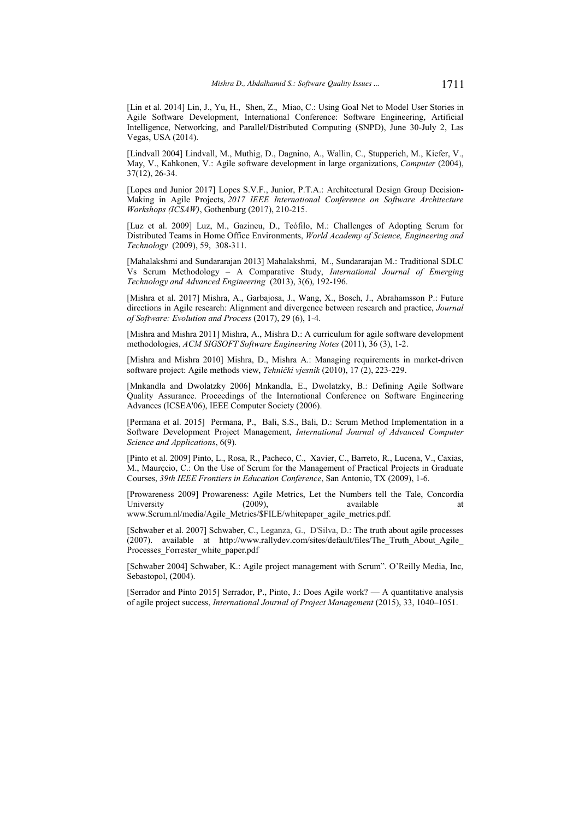[Lin et al. 2014] Lin, J., Yu, H., Shen, Z., Miao, C.: Using Goal Net to Model User Stories in Agile Software Development, International Conference: Software Engineering, Artificial Intelligence, Networking, and Parallel/Distributed Computing (SNPD), June 30-July 2, Las Vegas, USA (2014).

[Lindvall 2004] Lindvall, M., Muthig, D., Dagnino, A., Wallin, C., Stupperich, M., Kiefer, V., May, V., Kahkonen, V.: Agile software development in large organizations, Computer (2004),  $37(12)$ , 26-34.

[Lopes and Junior 2017] Lopes S.V.F., Junior, P.T.A.: Architectural Design Group Decision-Making in Agile Projects, 2017 IEEE International Conference on Software Architecture Workshops (ICSAW), Gothenburg (2017), 210-215.

[Luz et al. 2009] Luz, M., Gazineu, D., Teófilo, M.: Challenges of Adopting Scrum for Distributed Teams in Home Office Environments, World Academy of Science, Engineering and Technology (2009), 59, 308-311.

[Mahalakshmi and Sundararajan 2013] Mahalakshmi, M., Sundararajan M.: Traditional SDLC Vs Scrum Methodology - A Comparative Study, International Journal of Emerging Technology and Advanced Engineering (2013), 3(6), 192-196.

[Mishra et al. 2017] Mishra, A., Garbajosa, J., Wang, X., Bosch, J., Abrahamsson P.: Future directions in Agile research: Alignment and divergence between research and practice, Journal of Software: Evolution and Process (2017), 29 (6), 1-4.

[Mishra and Mishra 2011] Mishra, A., Mishra D.: A curriculum for agile software development methodologies, ACM SIGSOFT Software Engineering Notes (2011), 36 (3), 1-2.

[Mishra and Mishra 2010] Mishra, D., Mishra A.: Managing requirements in market-driven software project: Agile methods view, Tehnički vjesnik (2010), 17 (2), 223-229.

[Mnkandla and Dwolatzky 2006] Mnkandla, E., Dwolatzky, B.; Defining Agile Software Quality Assurance. Proceedings of the International Conference on Software Engineering Advances (ICSEA'06), IEEE Computer Society (2006).

[Permana et al. 2015] Permana, P., Bali, S.S., Bali, D.: Scrum Method Implementation in a Software Development Project Management, International Journal of Advanced Computer Science and Applications, 6(9).

[Pinto et al. 2009] Pinto, L., Rosa, R., Pacheco, C., Xavier, C., Barreto, R., Lucena, V., Caxias, M., Maurçcio, C.: On the Use of Scrum for the Management of Practical Projects in Graduate Courses, 39th IEEE Frontiers in Education Conference, San Antonio, TX (2009), 1-6.

[Prowareness 2009] Prowareness: Agile Metrics, Let the Numbers tell the Tale, Concordia University  $(2009),$ available <sub>at</sub> www.Scrum.nl/media/Agile Metrics/\$FILE/whitepaper agile metrics.pdf.

[Schwaber et al. 2007] Schwaber, C., Leganza, G., D'Silva, D.: The truth about agile processes (2007). available at http://www.rallydev.com/sites/default/files/The\_Truth\_About\_Agile\_ Processes\_Forrester\_white\_paper.pdf

[Schwaber 2004] Schwaber, K.: Agile project management with Scrum". O'Reilly Media, Inc, Sebastopol, (2004).

[Serrador and Pinto 2015] Serrador, P., Pinto, J.: Does Agile work? — A quantitative analysis of agile project success, International Journal of Project Management (2015), 33, 1040-1051.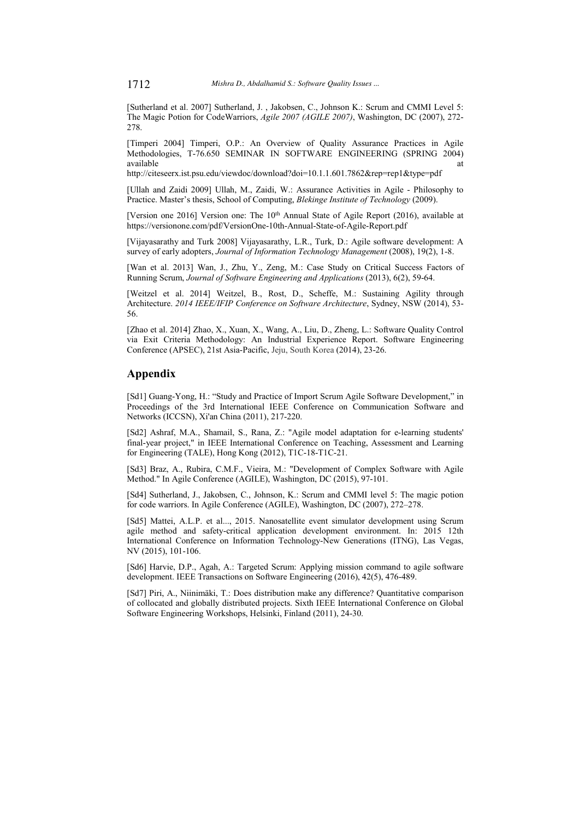[Sutherland et al. 2007] Sutherland, J., Jakobsen, C., Johnson K.: Scrum and CMMI Level 5: The Magic Potion for CodeWarriors, Agile 2007 (AGILE 2007), Washington, DC (2007), 272-2.78.

[Timperi 2004] Timperi, O.P.: An Overview of Quality Assurance Practices in Agile Methodologies, T-76.650 SEMINAR IN SOFTWARE ENGINEERING (SPRING 2004) available

http://citeseerx.ist.psu.edu/viewdoc/download?doi=10.1.1.601.7862&rep=rep1&type=pdf

[Ullah and Zaidi 2009] Ullah, M., Zaidi, W.: Assurance Activities in Agile - Philosophy to Practice. Master's thesis. School of Computing. Blekinge Institute of Technology (2009).

[Version one 2016] Version one: The 10<sup>th</sup> Annual State of Agile Report (2016), available at https://versionone.com/pdf/VersionOne-10th-Annual-State-of-Agile-Report.pdf

[Vijayasarathy and Turk 2008] Vijayasarathy, L.R., Turk, D.: Agile software development: A survey of early adopters, Journal of Information Technology Management (2008), 19(2), 1-8.

[Wan et al. 2013] Wan, J., Zhu, Y., Zeng, M.: Case Study on Critical Success Factors of Running Scrum, Journal of Software Engineering and Applications (2013), 6(2), 59-64.

[Weitzel et al. 2014] Weitzel, B., Rost, D., Scheffe, M.: Sustaining Agility through Architecture. 2014 IEEE/IFIP Conference on Software Architecture, Sydney, NSW (2014), 53-56.

[Zhao et al. 2014] Zhao, X., Xuan, X., Wang, A., Liu, D., Zheng, L.: Software Quality Control via Exit Criteria Methodology: An Industrial Experience Report. Software Engineering Conference (APSEC), 21st Asia-Pacific, Jeju, South Korea (2014), 23-26.

# Appendix

[Sd1] Guang-Yong, H.: "Study and Practice of Import Scrum Agile Software Development," in Proceedings of the 3rd International IEEE Conference on Communication Software and Networks (ICCSN), Xi'an China (2011), 217-220.

[Sd2] Ashraf, M.A., Shamail, S., Rana, Z.: "Agile model adaptation for e-learning students' final-year project," in IEEE International Conference on Teaching, Assessment and Learning for Engineering (TALE), Hong Kong (2012), T1C-18-T1C-21.

[Sd3] Braz, A., Rubira, C.M.F., Vieira, M.: "Development of Complex Software with Agile Method." In Agile Conference (AGILE), Washington, DC (2015), 97-101.

[Sd4] Sutherland, J., Jakobsen, C., Johnson, K.: Scrum and CMMI level 5: The magic potion for code warriors. In Agile Conference (AGILE), Washington, DC (2007), 272-278.

[Sd5] Mattei, A.L.P. et al..., 2015. Nanosatellite event simulator development using Scrum agile method and safety-critical application development environment. In: 2015 12th International Conference on Information Technology-New Generations (ITNG), Las Vegas, NV (2015), 101-106.

[Sd6] Harvie, D.P., Agah, A.: Targeted Scrum: Applying mission command to agile software development. IEEE Transactions on Software Engineering (2016), 42(5), 476-489.

[Sd7] Piri, A., Niinimäki, T.: Does distribution make any difference? Quantitative comparison of collocated and globally distributed projects. Sixth IEEE International Conference on Global Software Engineering Workshops, Helsinki, Finland (2011), 24-30.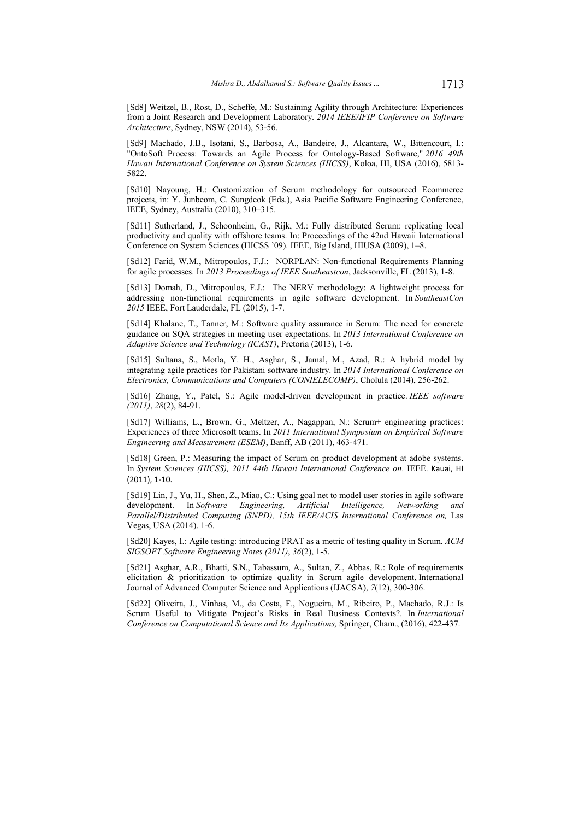[Sd8] Weitzel, B., Rost, D., Scheffe, M.: Sustaining Agility through Architecture: Experiences from a Joint Research and Development Laboratory. 2014 IEEE/IFIP Conference on Software Architecture, Sydney, NSW (2014), 53-56.

[Sd9] Machado, J.B., Isotani, S., Barbosa, A., Bandeire, J., Alcantara, W., Bittencourt, I.: "OntoSoft Process: Towards an Agile Process for Ontology-Based Software," 2016 49th Hawaii International Conference on System Sciences (HICSS), Koloa, HI, USA (2016), 5813-5822.

[Sd10] Nayoung, H.: Customization of Scrum methodology for outsourced Ecommerce projects, in: Y. Junbeom, C. Sungdeok (Eds.), Asia Pacific Software Engineering Conference, IEEE, Sydney, Australia  $(2010)$ ,  $310-315$ .

[Sd11] Sutherland, J., Schoonheim, G., Rijk, M.: Fully distributed Scrum: replicating local productivity and quality with offshore teams. In: Proceedings of the 42nd Hawaii International Conference on System Sciences (HICSS '09). IEEE, Big Island, HIUSA (2009), 1-8.

[Sd12] Farid, W.M., Mitropoulos, F.J.: NORPLAN: Non-functional Requirements Planning for agile processes. In 2013 Proceedings of IEEE Southeastcon, Jacksonville, FL (2013), 1-8.

[Sd13] Domah, D., Mitropoulos, F.J.: The NERV methodology: A lightweight process for addressing non-functional requirements in agile software development. In SoutheastCon 2015 IEEE, Fort Lauderdale, FL (2015), 1-7.

[Sd14] Khalane, T., Tanner, M.: Software quality assurance in Scrum: The need for concrete guidance on SOA strategies in meeting user expectations. In 2013 International Conference on Adaptive Science and Technology (ICAST), Pretoria (2013), 1-6.

[Sd15] Sultana, S., Motla, Y. H., Asghar, S., Jamal, M., Azad, R.: A hybrid model by integrating agile practices for Pakistani software industry. In 2014 International Conference on Electronics. Communications and Computers (CONIELECOMP), Cholula (2014), 256-262.

[Sd16] Zhang, Y., Patel, S.: Agile model-driven development in practice. IEEE software  $(2011), 28(2), 84-91.$ 

[Sd17] Williams, L., Brown, G., Meltzer, A., Nagappan, N.: Scrum+ engineering practices: Experiences of three Microsoft teams. In 2011 International Symposium on Empirical Software Engineering and Measurement (ESEM), Banff, AB (2011), 463-471.

[Sd18] Green, P.: Measuring the impact of Scrum on product development at adobe systems. In System Sciences (HICSS), 2011 44th Hawaii International Conference on. IEEE. Kauai, HI  $(2011)$ , 1-10.

[Sd19] Lin, J., Yu, H., Shen, Z., Miao, C.: Using goal net to model user stories in agile software development. In Software Engineering, Artificial Intelligence, Networking and Parallel/Distributed Computing (SNPD), 15th IEEE/ACIS International Conference on, Las Vegas, USA (2014). 1-6.

[Sd20] Kayes, I.: Agile testing: introducing PRAT as a metric of testing quality in Scrum.  $ACM$  $SIGSOFT$  Software Engineering Notes (2011), 36(2), 1-5.

[Sd21] Asghar, A.R., Bhatti, S.N., Tabassum, A., Sultan, Z., Abbas, R.: Role of requirements elicitation & prioritization to optimize quality in Scrum agile development. International Journal of Advanced Computer Science and Applications (IJACSA), 7(12), 300-306.

[Sd22] Oliveira, J., Vinhas, M., da Costa, F., Nogueira, M., Ribeiro, P., Machado, R.J.: Is Scrum Useful to Mitigate Project's Risks in Real Business Contexts?. In International Conference on Computational Science and Its Applications, Springer, Cham., (2016), 422-437.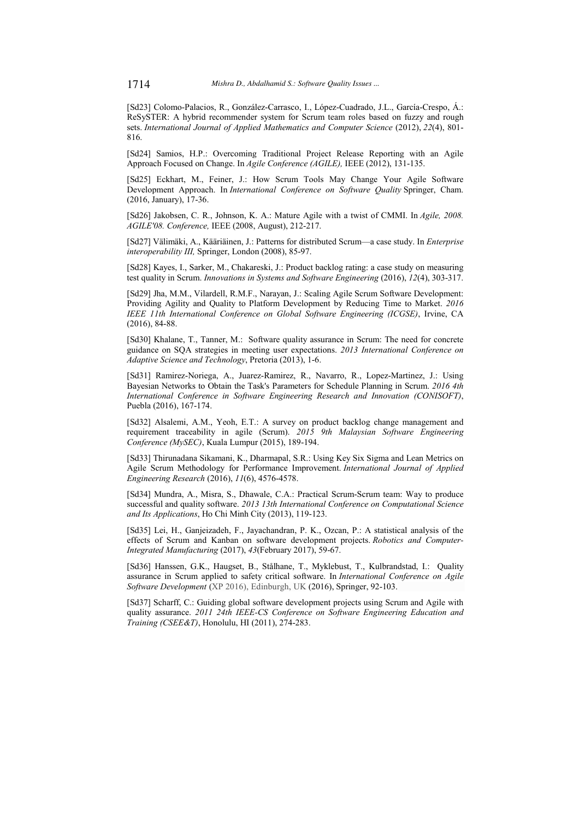[Sd23] Colomo-Palacios, R., González-Carrasco, I., López-Cuadrado, J.L., García-Crespo, Á.: ReSySTER: A hybrid recommender system for Scrum team roles based on fuzzy and rough sets. International Journal of Applied Mathematics and Computer Science (2012), 22(4), 801-816.

[Sd24] Samios, H.P.: Overcoming Traditional Project Release Reporting with an Agile Approach Focused on Change. In Agile Conference (AGILE), IEEE (2012), 131-135.

[Sd25] Eckhart, M., Feiner, J.: How Scrum Tools May Change Your Agile Software Development Approach. In International Conference on Software Quality Springer, Cham. (2016, January), 17-36.

[Sd26] Jakobsen, C. R., Johnson, K. A.: Mature Agile with a twist of CMMI. In Agile, 2008. AGILE'08. Conference, IEEE (2008, August), 212-217.

[Sd27] Välimäki, A., Kääriäinen, J.: Patterns for distributed Scrum—a case study. In Enterprise interoperability III, Springer, London (2008), 85-97.

[Sd28] Kayes, I., Sarker, M., Chakareski, J.: Product backlog rating: a case study on measuring test quality in Scrum. Innovations in Systems and Software Engineering (2016), 12(4), 303-317.

[Sd29] Jha, M.M., Vilardell, R.M.F., Narayan, J.: Scaling Agile Scrum Software Development: Providing Agility and Quality to Platform Development by Reducing Time to Market. 2016 IEEE 11th International Conference on Global Software Engineering (ICGSE), Irvine, CA  $(2016), 84-88.$ 

[Sd30] Khalane, T., Tanner, M.: Software quality assurance in Scrum: The need for concrete guidance on SOA strategies in meeting user expectations. 2013 International Conference on Adaptive Science and Technology, Pretoria (2013), 1-6.

[Sd31] Ramirez-Noriega, A., Juarez-Ramirez, R., Navarro, R., Lopez-Martinez, J.: Using Bayesian Networks to Obtain the Task's Parameters for Schedule Planning in Scrum. 2016 4th International Conference in Software Engineering Research and Innovation (CONISOFT), Puebla (2016), 167-174.

[Sd32] Alsalemi, A.M., Yeoh, E.T.: A survey on product backlog change management and requirement traceability in agile (Scrum). 2015 9th Malaysian Software Engineering Conference (MySEC), Kuala Lumpur (2015), 189-194.

[Sd33] Thirunadana Sikamani, K., Dharmapal, S.R.: Using Key Six Sigma and Lean Metrics on Agile Scrum Methodology for Performance Improvement. International Journal of Applied Engineering Research (2016), 11(6), 4576-4578.

[Sd34] Mundra, A., Misra, S., Dhawale, C.A.: Practical Scrum-Scrum team: Way to produce successful and quality software. 2013 13th International Conference on Computational Science and Its Applications, Ho Chi Minh City (2013), 119-123.

[Sd35] Lei, H., Ganjeizadeh, F., Jayachandran, P. K., Ozcan, P.: A statistical analysis of the effects of Scrum and Kanban on software development projects. Robotics and Computer-Integrated Manufacturing (2017), 43(February 2017), 59-67.

[Sd36] Hanssen, G.K., Haugset, B., Stålhane, T., Myklebust, T., Kulbrandstad, I.: Quality assurance in Scrum applied to safety critical software. In International Conference on Agile Software Development (XP 2016), Edinburgh, UK (2016), Springer, 92-103.

[Sd37] Scharff, C.: Guiding global software development projects using Scrum and Agile with quality assurance. 2011 24th IEEE-CS Conference on Software Engineering Education and Training (CSEE&T), Honolulu, HI (2011), 274-283.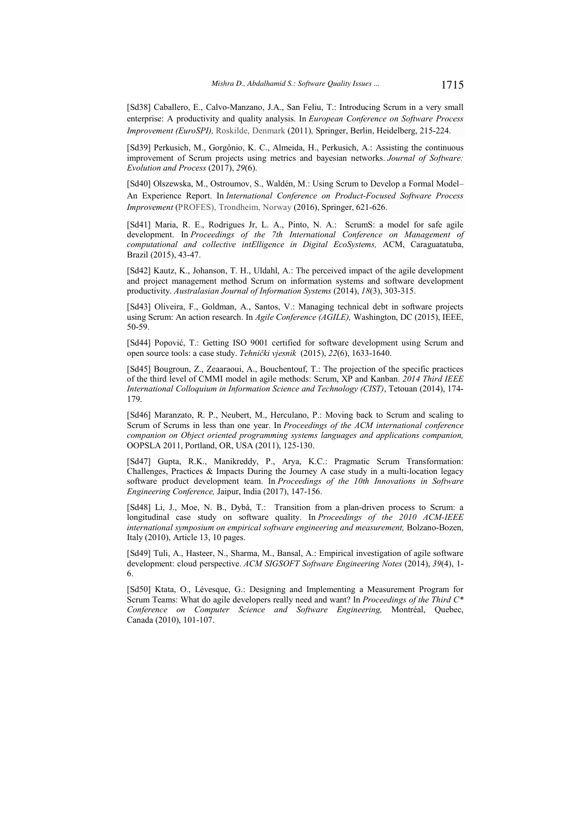[Sd38] Caballero, E., Calvo-Manzano, J.A., San Feliu, T.: Introducing Scrum in a very small enterprise: A productivity and quality analysis. In European Conference on Software Process Improvement (EuroSPI), Roskilde, Denmark (2011), Springer, Berlin, Heidelberg, 215-224.

[Sd39] Perkusich, M., Gorgônio, K. C., Almeida, H., Perkusich, A.: Assisting the continuous improvement of Scrum projects using metrics and bayesian networks. Journal of Software: Evolution and Process (2017), 29(6).

[Sd40] Olszewska, M., Ostroumov, S., Waldén, M.: Using Scrum to Develop a Formal Model-An Experience Report. In International Conference on Product-Focused Software Process Improvement (PROFES), Trondheim, Norway (2016), Springer, 621-626.

[Sd41] Maria, R. E., Rodrigues Jr, L. A., Pinto, N. A.: ScrumS: a model for safe agile development. In Proceedings of the 7th International Conference on Management of computational and collective intElligence in Digital EcoSystems, ACM, Caraguatatuba, Brazil (2015), 43-47.

[Sd42] Kautz, K., Johanson, T. H., Uldahl, A.: The perceived impact of the agile development and project management method Scrum on information systems and software development productivity. Australasian Journal of Information Systems (2014), 18(3), 303-315.

[Sd43] Oliveira, F., Goldman, A., Santos, V.: Managing technical debt in software projects using Scrum: An action research. In *Agile Conference (AGILE)*, Washington, DC (2015), IEEE, 50-59.

[Sd44] Popović, T.: Getting ISO 9001 certified for software development using Scrum and open source tools: a case study. Tehnički vjesnik (2015), 22(6), 1633-1640.

[Sd45] Bougroun, Z., Zeaaraoui, A., Bouchentouf, T.: The projection of the specific practices of the third level of CMMI model in agile methods: Scrum, XP and Kanban. 2014 Third IEEE International Colloquium in Information Science and Technology (CIST), Tetouan (2014), 174-179.

[Sd46] Maranzato, R. P., Neubert, M., Herculano, P.: Moving back to Scrum and scaling to Scrum of Scrums in less than one year. In Proceedings of the ACM international conference companion on Object oriented programming systems languages and applications companion, OOPSLA 2011, Portland, OR, USA (2011), 125-130.

[Sd47] Gupta, R.K., Manikreddy, P., Arya, K.C.: Pragmatic Scrum Transformation: Challenges, Practices & Impacts During the Journey A case study in a multi-location legacy software product development team. In Proceedings of the 10th Innovations in Software Engineering Conference, Jaipur, India (2017), 147-156.

[Sd48] Li, J., Moe, N. B., Dybå, T.: Transition from a plan-driven process to Scrum: a longitudinal case study on software quality. In Proceedings of the 2010 ACM-IEEE international symposium on empirical software engineering and measurement, Bolzano-Bozen, Italy (2010), Article 13, 10 pages.

[Sd49] Tuli, A., Hasteer, N., Sharma, M., Bansal, A.: Empirical investigation of agile software development: cloud perspective. ACM SIGSOFT Software Engineering Notes (2014), 39(4), 1-6.

[Sd50] Ktata, O., Lévesque, G.: Designing and Implementing a Measurement Program for Scrum Teams: What do agile developers really need and want? In Proceedings of the Third C<sup>\*</sup> Conference on Computer Science and Software Engineering, Montréal, Quebec, Canada (2010), 101-107.